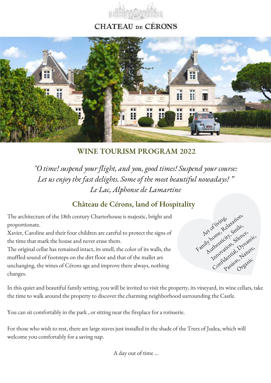

# **CHATEAU** DE CÉRONS



**WINE TOURISM PROGRAM 2022**

*"O time! suspend your flight, and you, good times! Suspend your course: Let us enjoy the fast delights. Some of the most beautiful nowadays! " Le Lac, Alphonse de Lamartine*

# **Château de Cérons, land of Hospitality**

The architecture of the 18th century Charterhouse is majestic, bright and proportionate.

Xavier, Caroline and their four children are careful to protect the signs of the time that mark the house and never erase them.

The original cellar has remained intact, its smell, the color of its walls, the muffled sound of footsteps on the dirt floor and that of the mallet are unchanging, the wines of Cérons age and improve there always, nothing changes.



In this quiet and beautiful family setting, you will be invited to visit the property, its vineyard, its wine cellars, take the time to walk around the property to discover the charming neighborhood surrounding the Castle.

You can sit comfortably in the park , or sitting near the fireplace for a rotisserie.

For those who wish to rest, there are large staves just installed in the shade of the Trees of Judea, which will welcome you comfortably for a saving nap.

A day out of time ...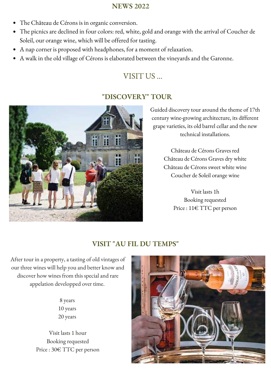#### **NEWS 2022**

- The Château de Cérons is in organic conversion.
- The picnics are declined in four colors: red, white, gold and orange with the arrival of Coucher de Soleil, our orange wine, which will be offered for tasting.
- A nap corner is proposed with headphones, for a moment of relaxation.
- A walk in the old village of Cérons is elaborated between the vineyards and the Garonne.

# VISIT US ...

## **"DISCOVERY" TOUR**



Guided discovery tour around the theme of 17th century wine-growing architecture, its different grape varieties, its old barrel cellar and the new technical installations.

> Château de Cérons Graves red Château de Cérons Graves dry white Château de Cérons sweet white wine Coucher de Soleil orange wine

> > Visit lasts 1h Booking requested Price : 11€ TTC per person

## **VISIT "AU FIL DU TEMPS"**

After tour in a property, a tasting of old vintages of our three wines will help you and better know and discover how wines from this special and rare appelation developped over time.

> 8 years 10 years 20 years

Visit lasts 1 hour Booking requested Price : 30€ TTC per person

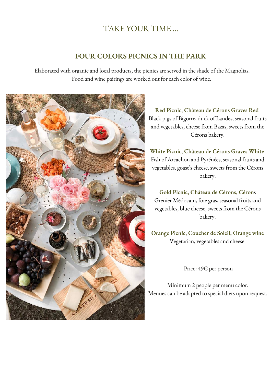# TAKE YOUR TIME ...

#### **FOUR COLORS PICNICS IN THE PARK**

Elaborated with organic and local products, the picnics are served in the shade of the Magnolias. Food and wine pairings are worked out for each color of wine.



**Red Picnic, Château de Cérons Graves Red** Black pigs of Bigorre, duck of Landes, seasonal fruits and vegetables, cheese from Bazas, sweets from the Cérons bakery.

**White Picnic, Château de Cérons Graves White** Fish of Arcachon and Pyrénées, seasonal fruits and vegetables, goast's cheese, sweets from the Cérons bakery.

**Gold Picnic, Château de Cérons, Céron**s Grenier Médocain, foie gras, seasonal fruits and vegetables, blue cheese, sweets from the Cérons bakery.

**Orange Picnic, Coucher de Soleil, Orange wine** Vegetarian, vegetables and cheese

Price: 49€ per person

Minimum 2 people per menu color. Menues can be adapted to special diets upon request.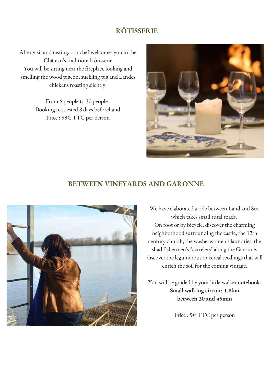### **RÔTISSERIE**

After visit and tasting, our chef welcomes you in the Château's traditional rôtisserie You will be sitting near the fireplace looking and smelling the wood pigeon, suckling pig and Landes chickens roasting silently.

> From 6 people to 30 people. Booking requested 8 days beforehand Price : 59€ TTC per person



#### **BETWEEN VINEYARDS AND GARONNE**



We have elaborated a ride between Land and Sea which takes small rural roads. On foot or by bicycle, discover the charming neighborhood surrounding the castle, the 12th century church, the washerwomen's laundries, the shad fishermen's "carrelets" along the Garonne, discover the leguminous or cereal seedlings that will enrich the soil for the coming vintage.

You will be guided by your little walker notebook. **Small walking circuit: 1.8km between 30 and 45min**

Price : 5€ TTC per person